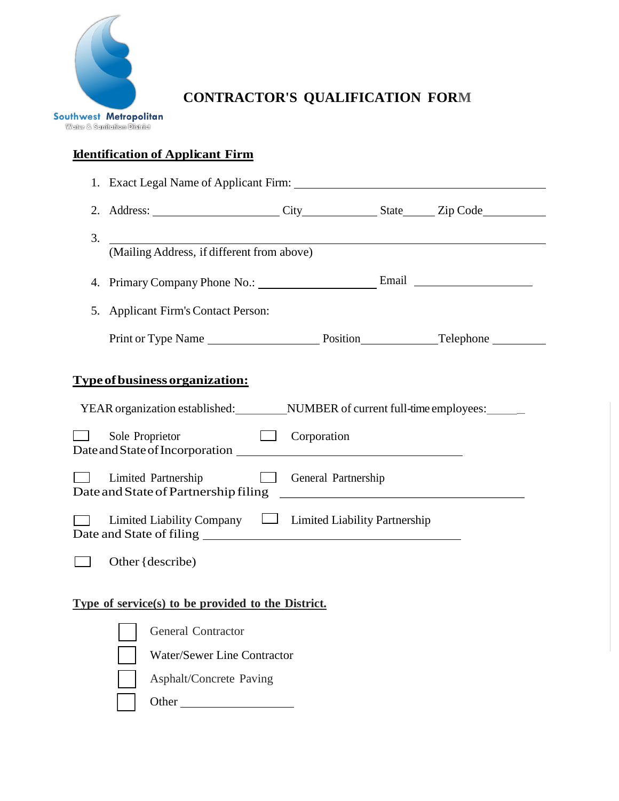

**CONTRACTOR'S QUALIFICATION FORM**

## **Identification of Applicant Firm**

|    | 2. Address: City City State Zip Code                                                       |             |  |  |  |  |  |
|----|--------------------------------------------------------------------------------------------|-------------|--|--|--|--|--|
| 3. |                                                                                            |             |  |  |  |  |  |
|    | (Mailing Address, if different from above)                                                 |             |  |  |  |  |  |
|    |                                                                                            |             |  |  |  |  |  |
|    | 5. Applicant Firm's Contact Person:                                                        |             |  |  |  |  |  |
|    |                                                                                            |             |  |  |  |  |  |
|    |                                                                                            |             |  |  |  |  |  |
|    | <u>Type of business organization:</u>                                                      |             |  |  |  |  |  |
|    | YEAR organization established: _____________NUMBER of current full-time employees: _______ |             |  |  |  |  |  |
|    | Sole Proprietor                                                                            | Corporation |  |  |  |  |  |
|    | Limited Partnership General Partnership                                                    |             |  |  |  |  |  |
|    | $\Box$ Limited Liability Company $\Box$ Limited Liability Partnership                      |             |  |  |  |  |  |
|    | Other $\{$ describe)                                                                       |             |  |  |  |  |  |
|    | Type of service(s) to be provided to the District.                                         |             |  |  |  |  |  |
|    | General Contractor                                                                         |             |  |  |  |  |  |
|    | <b>Water/Sewer Line Contractor</b>                                                         |             |  |  |  |  |  |
|    | Asphalt/Concrete Paving                                                                    |             |  |  |  |  |  |
|    | Other                                                                                      |             |  |  |  |  |  |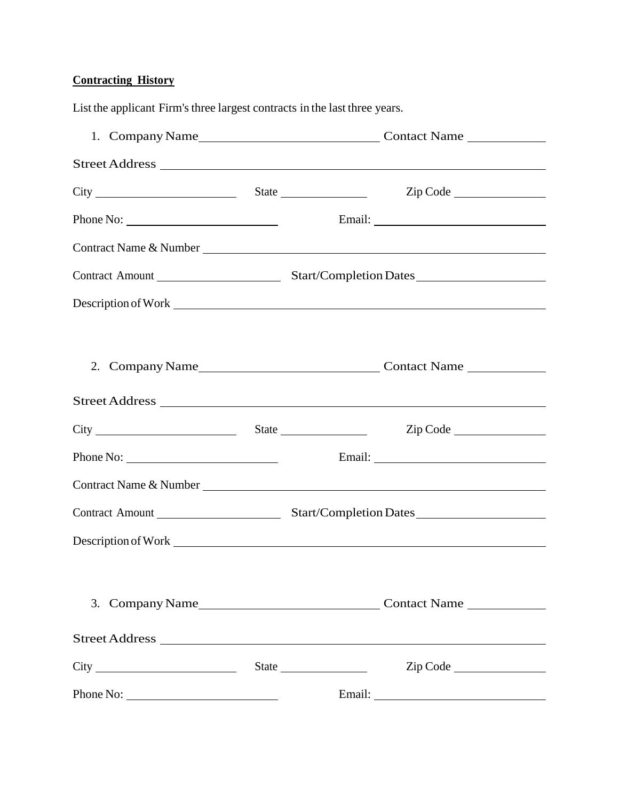## **Contracting History**

|  | Street Address    |
|--|-------------------|
|  | Zip Code          |
|  |                   |
|  |                   |
|  |                   |
|  |                   |
|  |                   |
|  |                   |
|  | State<br>Zip Code |
|  | Email:            |

List the applicant Firm's three largest contracts in the last three years.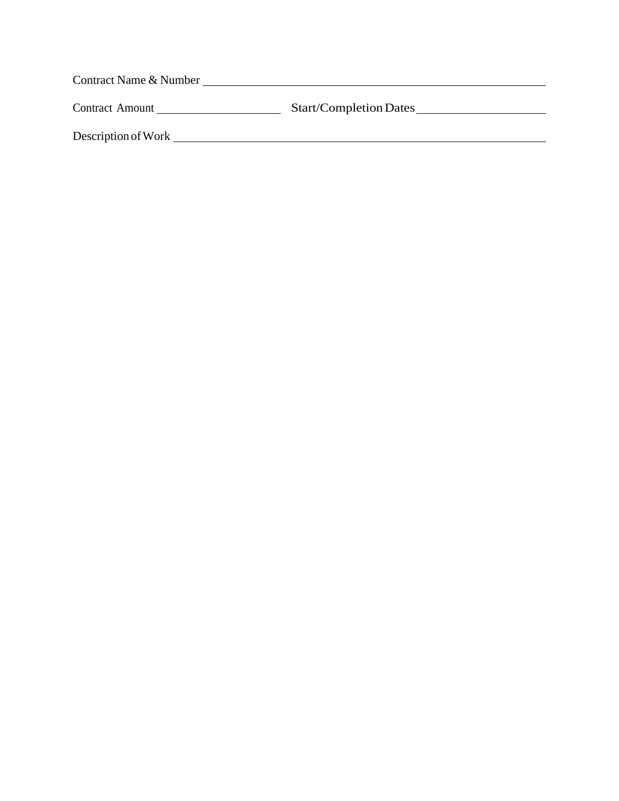| Contract Name & Number |                               |  |  |  |  |  |  |
|------------------------|-------------------------------|--|--|--|--|--|--|
| <b>Contract Amount</b> | <b>Start/Completion Dates</b> |  |  |  |  |  |  |
| Description of Work    |                               |  |  |  |  |  |  |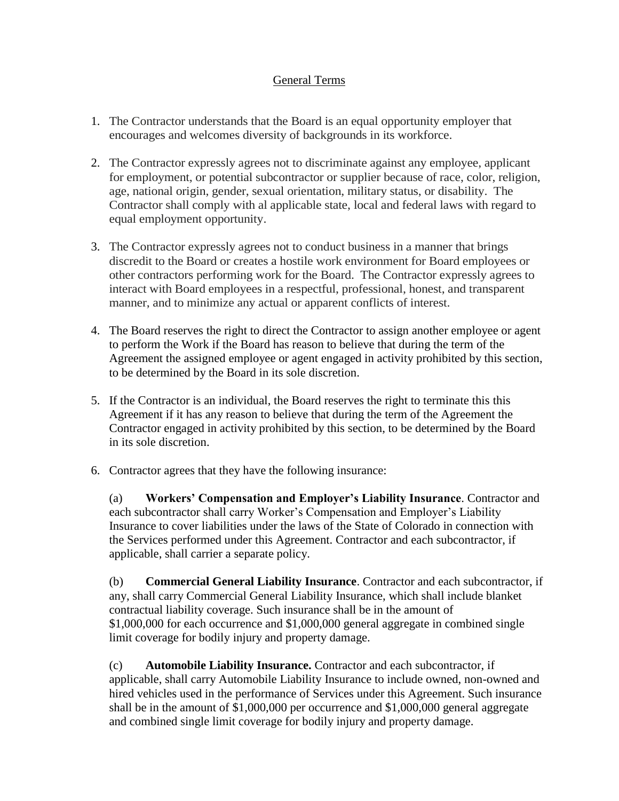## General Terms

- 1. The Contractor understands that the Board is an equal opportunity employer that encourages and welcomes diversity of backgrounds in its workforce.
- 2. The Contractor expressly agrees not to discriminate against any employee, applicant for employment, or potential subcontractor or supplier because of race, color, religion, age, national origin, gender, sexual orientation, military status, or disability. The Contractor shall comply with al applicable state, local and federal laws with regard to equal employment opportunity.
- 3. The Contractor expressly agrees not to conduct business in a manner that brings discredit to the Board or creates a hostile work environment for Board employees or other contractors performing work for the Board. The Contractor expressly agrees to interact with Board employees in a respectful, professional, honest, and transparent manner, and to minimize any actual or apparent conflicts of interest.
- 4. The Board reserves the right to direct the Contractor to assign another employee or agent to perform the Work if the Board has reason to believe that during the term of the Agreement the assigned employee or agent engaged in activity prohibited by this section, to be determined by the Board in its sole discretion.
- 5. If the Contractor is an individual, the Board reserves the right to terminate this this Agreement if it has any reason to believe that during the term of the Agreement the Contractor engaged in activity prohibited by this section, to be determined by the Board in its sole discretion.
- 6. Contractor agrees that they have the following insurance:

(a) **Workers' Compensation and Employer's Liability Insurance**. Contractor and each subcontractor shall carry Worker's Compensation and Employer's Liability Insurance to cover liabilities under the laws of the State of Colorado in connection with the Services performed under this Agreement. Contractor and each subcontractor, if applicable, shall carrier a separate policy.

(b) **Commercial General Liability Insurance**. Contractor and each subcontractor, if any, shall carry Commercial General Liability Insurance, which shall include blanket contractual liability coverage. Such insurance shall be in the amount of \$1,000,000 for each occurrence and \$1,000,000 general aggregate in combined single limit coverage for bodily injury and property damage.

(c) **Automobile Liability Insurance.** Contractor and each subcontractor, if applicable, shall carry Automobile Liability Insurance to include owned, non-owned and hired vehicles used in the performance of Services under this Agreement. Such insurance shall be in the amount of \$1,000,000 per occurrence and \$1,000,000 general aggregate and combined single limit coverage for bodily injury and property damage.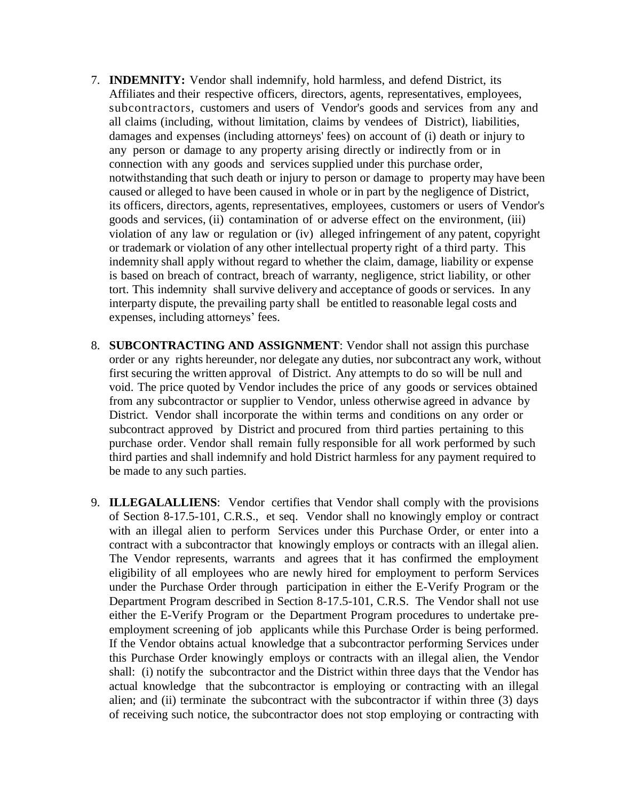- 7. **INDEMNITY:** Vendor shall indemnify, hold harmless, and defend District, its Affiliates and their respective officers, directors, agents, representatives, employees, subcontractors, customers and users of Vendor's goods and services from any and all claims (including, without limitation, claims by vendees of District), liabilities, damages and expenses (including attorneys' fees) on account of (i) death or injury to any person or damage to any property arising directly or indirectly from or in connection with any goods and services supplied under this purchase order, notwithstanding that such death or injury to person or damage to property may have been caused or alleged to have been caused in whole or in part by the negligence of District, its officers, directors, agents, representatives, employees, customers or users of Vendor's goods and services, (ii) contamination of or adverse effect on the environment, (iii) violation of any law or regulation or (iv) alleged infringement of any patent, copyright or trademark or violation of any other intellectual property right of a third party. This indemnity shall apply without regard to whether the claim, damage, liability or expense is based on breach of contract, breach of warranty, negligence, strict liability, or other tort. This indemnity shall survive delivery and acceptance of goods or services. In any interparty dispute, the prevailing party shall be entitled to reasonable legal costs and expenses, including attorneys' fees.
- 8. **SUBCONTRACTING AND ASSIGNMENT**: Vendor shall not assign this purchase order or any rights hereunder, nor delegate any duties, nor subcontract any work, without first securing the written approval of District. Any attempts to do so will be null and void. The price quoted by Vendor includes the price of any goods or services obtained from any subcontractor or supplier to Vendor, unless otherwise agreed in advance by District. Vendor shall incorporate the within terms and conditions on any order or subcontract approved by District and procured from third parties pertaining to this purchase order. Vendor shall remain fully responsible for all work performed by such third parties and shall indemnify and hold District harmless for any payment required to be made to any such parties.
- 9. **ILLEGALALLIENS**: Vendor certifies that Vendor shall comply with the provisions of Section 8-17.5-101, C.R.S., et seq. Vendor shall no knowingly employ or contract with an illegal alien to perform Services under this Purchase Order, or enter into a contract with a subcontractor that knowingly employs or contracts with an illegal alien. The Vendor represents, warrants and agrees that it has confirmed the employment eligibility of all employees who are newly hired for employment to perform Services under the Purchase Order through participation in either the E-Verify Program or the Department Program described in Section 8-17.5-101, C.R.S. The Vendor shall not use either the E-Verify Program or the Department Program procedures to undertake preemployment screening of job applicants while this Purchase Order is being performed. If the Vendor obtains actual knowledge that a subcontractor performing Services under this Purchase Order knowingly employs or contracts with an illegal alien, the Vendor shall: (i) notify the subcontractor and the District within three days that the Vendor has actual knowledge that the subcontractor is employing or contracting with an illegal alien; and (ii) terminate the subcontract with the subcontractor if within three (3) days of receiving such notice, the subcontractor does not stop employing or contracting with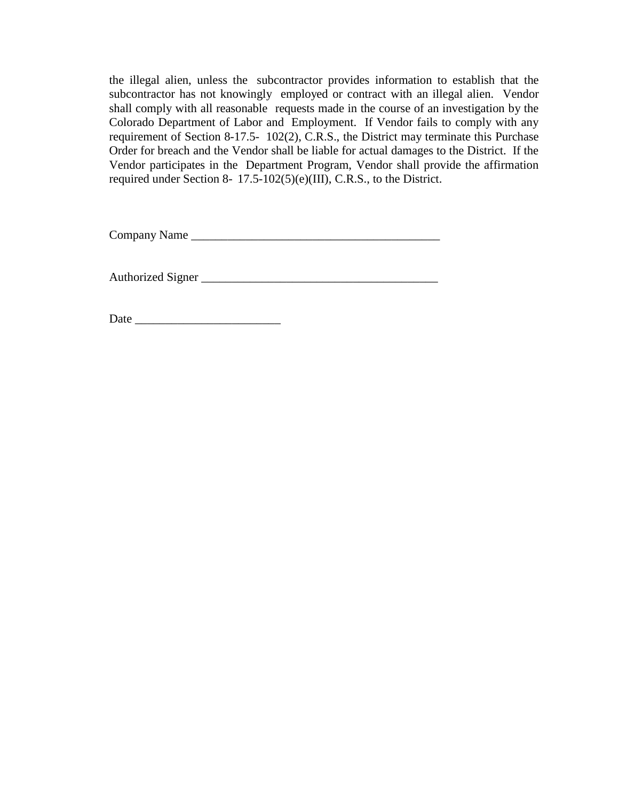the illegal alien, unless the subcontractor provides information to establish that the subcontractor has not knowingly employed or contract with an illegal alien. Vendor shall comply with all reasonable requests made in the course of an investigation by the Colorado Department of Labor and Employment. If Vendor fails to comply with any requirement of Section 8-17.5- 102(2), C.R.S., the District may terminate this Purchase Order for breach and the Vendor shall be liable for actual damages to the District. If the Vendor participates in the Department Program, Vendor shall provide the affirmation required under Section 8- 17.5-102(5)(e)(III), C.R.S., to the District.

Company Name \_\_\_\_\_\_\_\_\_\_\_\_\_\_\_\_\_\_\_\_\_\_\_\_\_\_\_\_\_\_\_\_\_\_\_\_\_\_\_\_\_

Authorized Signer \_\_\_\_\_\_\_\_\_\_\_\_\_\_\_\_\_\_\_\_\_\_\_\_\_\_\_\_\_\_\_\_\_\_\_\_\_\_\_

Date \_\_\_\_\_\_\_\_\_\_\_\_\_\_\_\_\_\_\_\_\_\_\_\_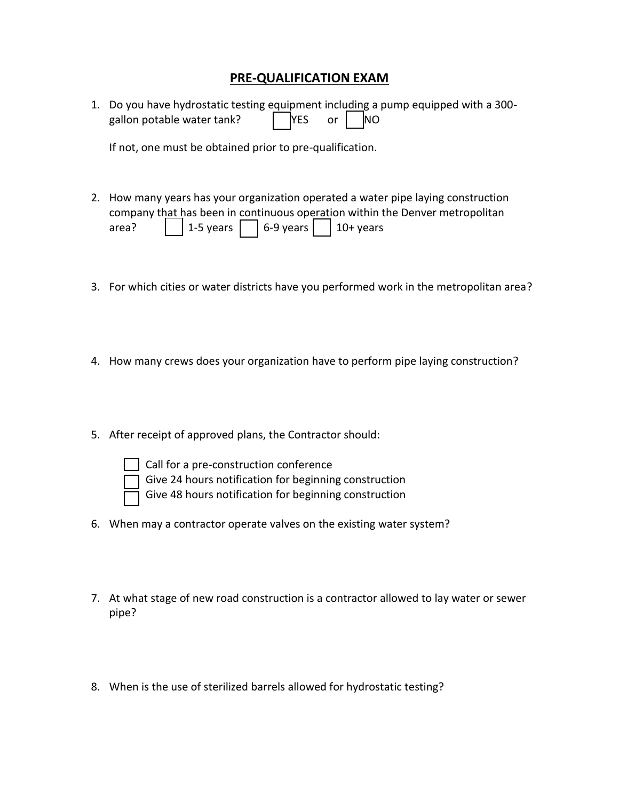## **PRE-QUALIFICATION EXAM**

| 1. Do you have hydrostatic testing equipment including a pump equipped with a 300- |                                 |  |  |
|------------------------------------------------------------------------------------|---------------------------------|--|--|
| gallon potable water tank?                                                         | $\sqrt{ }$ YES or $\sqrt{ }$ NO |  |  |

If not, one must be obtained prior to pre-qualification.

- 2. How many years has your organization operated a water pipe laying construction company that has been in continuous operation within the Denver metropolitan area? |  $\vert$  1-5 years |  $\vert$  6-9 years |  $\vert$  10+ years
- 3. For which cities or water districts have you performed work in the metropolitan area?
- 4. How many crews does your organization have to perform pipe laying construction?
- 5. After receipt of approved plans, the Contractor should:



call for a pre-construction conference

Give 24 hours notification for beginning construction

Give 48 hours notification for beginning construction

- 6. When may a contractor operate valves on the existing water system?
- 7. At what stage of new road construction is a contractor allowed to lay water or sewer pipe?
- 8. When is the use of sterilized barrels allowed for hydrostatic testing?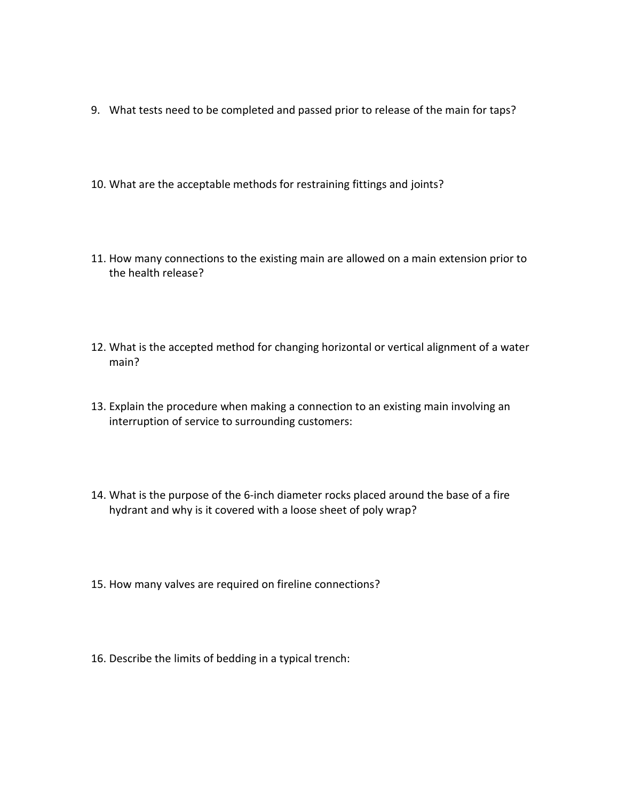- 9. What tests need to be completed and passed prior to release of the main for taps?
- 10. What are the acceptable methods for restraining fittings and joints?
- 11. How many connections to the existing main are allowed on a main extension prior to the health release?
- 12. What is the accepted method for changing horizontal or vertical alignment of a water main?
- 13. Explain the procedure when making a connection to an existing main involving an interruption of service to surrounding customers:
- 14. What is the purpose of the 6-inch diameter rocks placed around the base of a fire hydrant and why is it covered with a loose sheet of poly wrap?
- 15. How many valves are required on fireline connections?
- 16. Describe the limits of bedding in a typical trench: